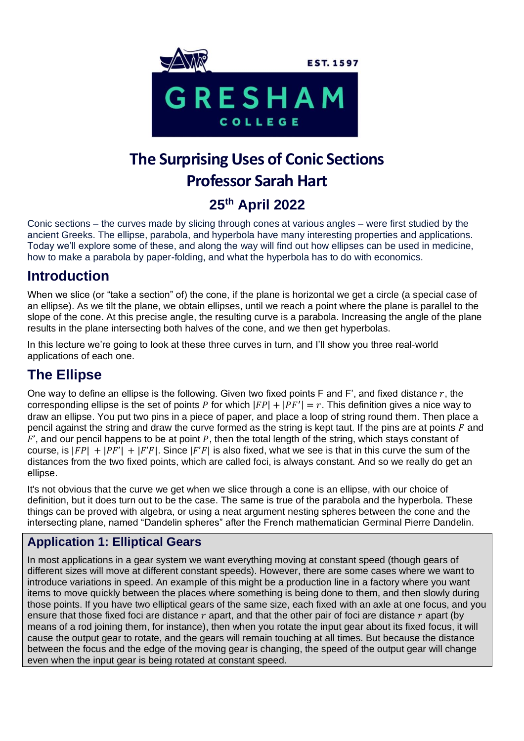

# **The Surprising Uses of Conic Sections Professor Sarah Hart 25th April 2022**

Conic sections – the curves made by slicing through cones at various angles – were first studied by the ancient Greeks. The ellipse, parabola, and hyperbola have many interesting properties and applications. Today we'll explore some of these, and along the way will find out how ellipses can be used in medicine, how to make a parabola by paper-folding, and what the hyperbola has to do with economics.

# **Introduction**

When we slice (or "take a section" of) the cone, if the plane is horizontal we get a circle (a special case of an ellipse). As we tilt the plane, we obtain ellipses, until we reach a point where the plane is parallel to the slope of the cone. At this precise angle, the resulting curve is a parabola. Increasing the angle of the plane results in the plane intersecting both halves of the cone, and we then get hyperbolas.

In this lecture we're going to look at these three curves in turn, and I'll show you three real-world applications of each one.

# **The Ellipse**

One way to define an ellipse is the following. Given two fixed points F and F', and fixed distance  $r$ , the corresponding ellipse is the set of points P for which  $|FP| + |PF'| = r$ . This definition gives a nice way to draw an ellipse. You put two pins in a piece of paper, and place a loop of string round them. Then place a pencil against the string and draw the curve formed as the string is kept taut. If the pins are at points  $F$  and  $F'$ , and our pencil happens to be at point P, then the total length of the string, which stays constant of course, is  $|F P| + |F' F| + |F' F|$ . Since  $|F' F|$  is also fixed, what we see is that in this curve the sum of the distances from the two fixed points, which are called foci, is always constant. And so we really do get an ellipse.

It's not obvious that the curve we get when we slice through a cone is an ellipse, with our choice of definition, but it does turn out to be the case. The same is true of the parabola and the hyperbola. These things can be proved with algebra, or using a neat argument nesting spheres between the cone and the intersecting plane, named "Dandelin spheres" after the French mathematician Germinal Pierre Dandelin.

#### **Application 1: Elliptical Gears**

In most applications in a gear system we want everything moving at constant speed (though gears of different sizes will move at different constant speeds). However, there are some cases where we want to introduce variations in speed. An example of this might be a production line in a factory where you want items to move quickly between the places where something is being done to them, and then slowly during those points. If you have two elliptical gears of the same size, each fixed with an axle at one focus, and you ensure that those fixed foci are distance  $r$  apart, and that the other pair of foci are distance  $r$  apart (by means of a rod joining them, for instance), then when you rotate the input gear about its fixed focus, it will cause the output gear to rotate, and the gears will remain touching at all times. But because the distance between the focus and the edge of the moving gear is changing, the speed of the output gear will change even when the input gear is being rotated at constant speed.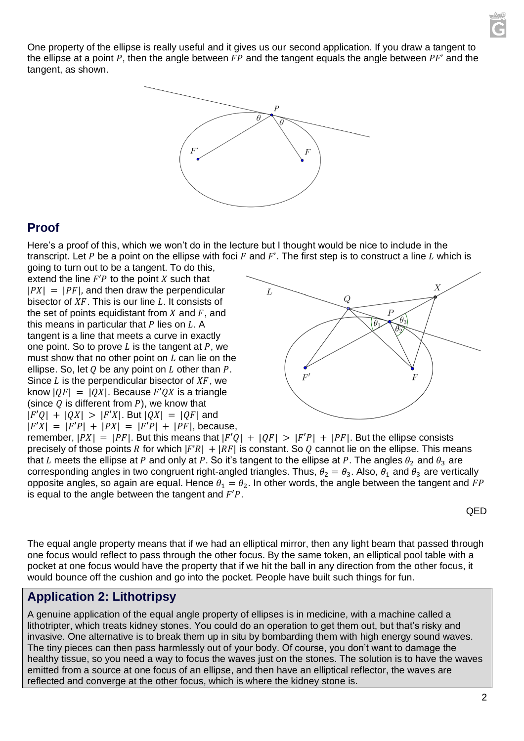One property of the ellipse is really useful and it gives us our second application. If you draw a tangent to the ellipse at a point P, then the angle between  $FP$  and the tangent equals the angle between  $PF'$  and the tangent, as shown.



#### **Proof**

Here's a proof of this, which we won't do in the lecture but I thought would be nice to include in the transcript. Let P be a point on the ellipse with foci  $F$  and  $F'$ . The first step is to construct a line  $L$  which is

going to turn out to be a tangent. To do this, extend the line  $F'P$  to the point  $X$  such that  $|PX| = |PF|$ , and then draw the perpendicular bisector of  $XF$ . This is our line  $L$ . It consists of the set of points equidistant from  $X$  and  $F$ , and this means in particular that  $P$  lies on  $L$ . A tangent is a line that meets a curve in exactly one point. So to prove  $L$  is the tangent at  $P$ , we must show that no other point on  $L$  can lie on the ellipse. So, let  $Q$  be any point on  $L$  other than  $P$ . Since  $L$  is the perpendicular bisector of  $XF$ , we know  $|oF| = |OX|$ . Because  $F'OX$  is a triangle (since  $Q$  is different from  $P$ ), we know that  $|F'Q| + |QX| > |F'X|$ . But  $|QX| = |QF|$  and  $|F'X| = |F'P| + |PX| = |F'P| + |PF|$ , because,



remember,  $|PX| = |PF|$ . But this means that  $|F'Q| + |QF| > |F'P| + |PF|$ . But the ellipse consists precisely of those points R for which  $|F'R| + |RF|$  is constant. So Q cannot lie on the ellipse. This means that L meets the ellipse at P and only at P. So it's tangent to the ellipse at P. The angles  $\theta_2$  and  $\theta_3$  are corresponding angles in two congruent right-angled triangles. Thus,  $\theta_2 = \theta_3$ . Also,  $\theta_1$  and  $\theta_3$  are vertically opposite angles, so again are equal. Hence  $\theta_1 = \theta_2$ . In other words, the angle between the tangent and FP is equal to the angle between the tangent and  $F'P$ .

QED

The equal angle property means that if we had an elliptical mirror, then any light beam that passed through one focus would reflect to pass through the other focus. By the same token, an elliptical pool table with a pocket at one focus would have the property that if we hit the ball in any direction from the other focus, it would bounce off the cushion and go into the pocket. People have built such things for fun.

#### **Application 2: Lithotripsy**

A genuine application of the equal angle property of ellipses is in medicine, with a machine called a lithotripter, which treats kidney stones. You could do an operation to get them out, but that's risky and invasive. One alternative is to break them up in situ by bombarding them with high energy sound waves. The tiny pieces can then pass harmlessly out of your body. Of course, you don't want to damage the healthy tissue, so you need a way to focus the waves just on the stones. The solution is to have the waves emitted from a source at one focus of an ellipse, and then have an elliptical reflector, the waves are reflected and converge at the other focus, which is where the kidney stone is.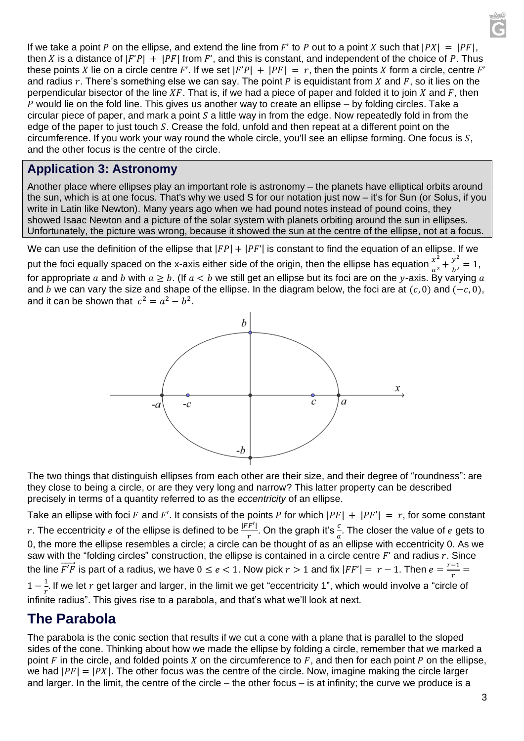If we take a point P on the ellipse, and extend the line from F' to P out to a point X such that  $|PX| = |PF|$ , then X is a distance of  $|F'P| + |PF|$  from F', and this is constant, and independent of the choice of P. Thus these points X lie on a circle centre F'. If we set  $|F'P| + |PF| = r$ , then the points X form a circle, centre F' and radius  $r$ . There's something else we can say. The point  $P$  is equidistant from  $X$  and  $F$ , so it lies on the perpendicular bisector of the line  $XF$ . That is, if we had a piece of paper and folded it to join X and F, then  $P$  would lie on the fold line. This gives us another way to create an ellipse – by folding circles. Take a circular piece of paper, and mark a point  $S$  a little way in from the edge. Now repeatedly fold in from the edge of the paper to just touch  $S$ . Crease the fold, unfold and then repeat at a different point on the circumference. If you work your way round the whole circle, you'll see an ellipse forming. One focus is  $S$ . and the other focus is the centre of the circle.

#### **Application 3: Astronomy**

Another place where ellipses play an important role is astronomy – the planets have elliptical orbits around the sun, which is at one focus. That's why we used S for our notation just now – it's for Sun (or Solus, if you write in Latin like Newton). Many years ago when we had pound notes instead of pound coins, they showed Isaac Newton and a picture of the solar system with planets orbiting around the sun in ellipses. Unfortunately, the picture was wrong, because it showed the sun at the centre of the ellipse, not at a focus.

We can use the definition of the ellipse that  $|FP| + |PF'|$  is constant to find the equation of an ellipse. If we

put the foci equally spaced on the x-axis either side of the origin, then the ellipse has equation  $\frac{x^2}{a^2}+\frac{y^2}{b^2}$  $\frac{y}{b^2} = 1$ , for appropriate a and b with  $a \ge b$ . (If  $a < b$  we still get an ellipse but its foci are on the y-axis. By varying a and *b* we can vary the size and shape of the ellipse. In the diagram below, the foci are at  $(c, 0)$  and  $(-c, 0)$ , and it can be shown that  $c^2 = a^2 - b^2$ .



The two things that distinguish ellipses from each other are their size, and their degree of "roundness": are they close to being a circle, or are they very long and narrow? This latter property can be described precisely in terms of a quantity referred to as the *eccentricity* of an ellipse.

Take an ellipse with foci F and F'. It consists of the points P for which  $|PF| + |PF'| = r$ , for some constant r. The eccentricity  $e$  of the ellipse is defined to be  $\frac{|FF'|}{r}$  $\frac{|F'|}{r}$ . On the graph it's  $\frac{c}{a}$ . The closer the value of  $e$  gets to 0, the more the ellipse resembles a circle; a circle can be thought of as an ellipse with eccentricity 0. As we saw with the "folding circles" construction, the ellipse is contained in a circle centre  $F'$  and radius  $r$ . Since the line  $\overrightarrow{F}$  is part of a radius, we have  $0 \le e < 1$ . Now pick  $r > 1$  and fix  $|FF'| = r - 1$ . Then  $e = \frac{r-1}{r}$  $\frac{-1}{r}$  =  $1-\frac{1}{x}$  $\frac{1}{r}$ . If we let  $r$  get larger and larger, in the limit we get "eccentricity 1", which would involve a "circle of

infinite radius". This gives rise to a parabola, and that's what we'll look at next.

### **The Parabola**

The parabola is the conic section that results if we cut a cone with a plane that is parallel to the sloped sides of the cone. Thinking about how we made the ellipse by folding a circle, remember that we marked a point  $F$  in the circle, and folded points  $X$  on the circumference to  $F$ , and then for each point  $P$  on the ellipse, we had  $|PF| = |PX|$ . The other focus was the centre of the circle. Now, imagine making the circle larger and larger. In the limit, the centre of the circle – the other focus – is at infinity; the curve we produce is a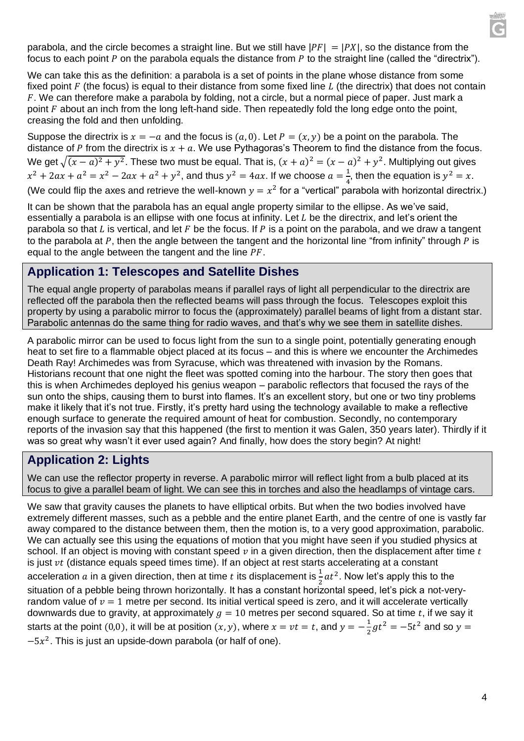parabola, and the circle becomes a straight line. But we still have  $|PF| = |PX|$ , so the distance from the focus to each point  $P$  on the parabola equals the distance from  $P$  to the straight line (called the "directrix").

We can take this as the definition: a parabola is a set of points in the plane whose distance from some fixed point  $F$  (the focus) is equal to their distance from some fixed line  $L$  (the directrix) that does not contain . We can therefore make a parabola by folding, not a circle, but a normal piece of paper. Just mark a point  $F$  about an inch from the long left-hand side. Then repeatedly fold the long edge onto the point, creasing the fold and then unfolding.

Suppose the directrix is  $x = -a$  and the focus is  $(a, 0)$ . Let  $P = (x, y)$  be a point on the parabola. The distance of P from the directrix is  $x + a$ . We use Pythagoras's Theorem to find the distance from the focus. We get  $\sqrt{(x-a)^2 + y^2}$ . These two must be equal. That is,  $(x+a)^2 = (x-a)^2 + y^2$ . Multiplying out gives  $x^2 + 2ax + a^2 = x^2 - 2ax + a^2 + y^2$ , and thus  $y^2 = 4ax$ . If we choose  $a = \frac{1}{4}$  $\frac{1}{4}$ , then the equation is  $y^2 = x$ . (We could flip the axes and retrieve the well-known  $y = x^2$  for a "vertical" parabola with horizontal directrix.)

It can be shown that the parabola has an equal angle property similar to the ellipse. As we've said, essentially a parabola is an ellipse with one focus at infinity. Let  $L$  be the directrix, and let's orient the parabola so that L is vertical, and let  $F$  be the focus. If  $P$  is a point on the parabola, and we draw a tangent to the parabola at  $P$ , then the angle between the tangent and the horizontal line "from infinity" through  $\overline{P}$  is equal to the angle between the tangent and the line  $PF$ .

#### **Application 1: Telescopes and Satellite Dishes**

The equal angle property of parabolas means if parallel rays of light all perpendicular to the directrix are reflected off the parabola then the reflected beams will pass through the focus. Telescopes exploit this property by using a parabolic mirror to focus the (approximately) parallel beams of light from a distant star. Parabolic antennas do the same thing for radio waves, and that's why we see them in satellite dishes.

A parabolic mirror can be used to focus light from the sun to a single point, potentially generating enough heat to set fire to a flammable object placed at its focus – and this is where we encounter the Archimedes Death Ray! Archimedes was from Syracuse, which was threatened with invasion by the Romans. Historians recount that one night the fleet was spotted coming into the harbour. The story then goes that this is when Archimedes deployed his genius weapon – parabolic reflectors that focused the rays of the sun onto the ships, causing them to burst into flames. It's an excellent story, but one or two tiny problems make it likely that it's not true. Firstly, it's pretty hard using the technology available to make a reflective enough surface to generate the required amount of heat for combustion. Secondly, no contemporary reports of the invasion say that this happened (the first to mention it was Galen, 350 years later). Thirdly if it was so great why wasn't it ever used again? And finally, how does the story begin? At night!

#### **Application 2: Lights**

We can use the reflector property in reverse. A parabolic mirror will reflect light from a bulb placed at its focus to give a parallel beam of light. We can see this in torches and also the headlamps of vintage cars.

We saw that gravity causes the planets to have elliptical orbits. But when the two bodies involved have extremely different masses, such as a pebble and the entire planet Earth, and the centre of one is vastly far away compared to the distance between them, then the motion is, to a very good approximation, parabolic. We can actually see this using the equations of motion that you might have seen if you studied physics at school. If an object is moving with constant speed  $\nu$  in a given direction, then the displacement after time t is just  $vt$  (distance equals speed times time). If an object at rest starts accelerating at a constant acceleration  $a$  in a given direction, then at time  $t$  its displacement is  $\frac{1}{2} a t^2$ . Now let's apply this to the situation of a pebble being thrown horizontally. It has a constant horizontal speed, let's pick a not-veryrandom value of  $v = 1$  metre per second. Its initial vertical speed is zero, and it will accelerate vertically downwards due to gravity, at approximately  $g = 10$  metres per second squared. So at time t, if we say it starts at the point (0,0), it will be at position  $(x, y)$ , where  $x = vt = t$ , and  $y = -\frac{1}{3}$  $\frac{1}{2}gt^2 = -5t^2$  and so  $y =$  $-5x^2$ . This is just an upside-down parabola (or half of one).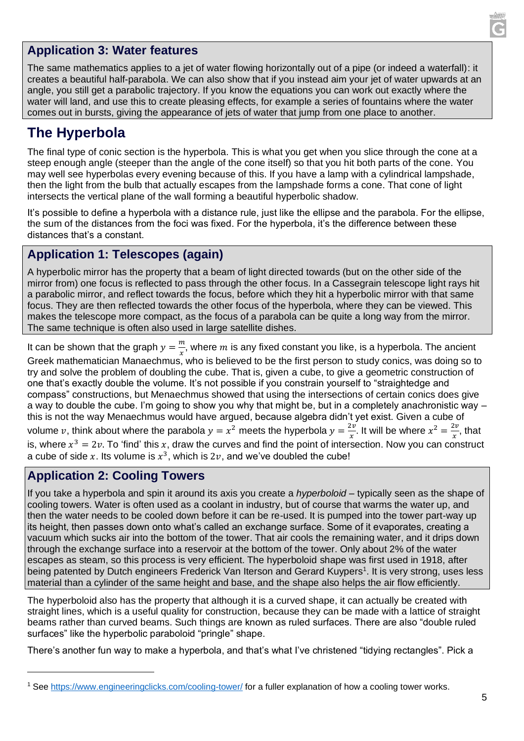

#### **Application 3: Water features**

The same mathematics applies to a jet of water flowing horizontally out of a pipe (or indeed a waterfall): it creates a beautiful half-parabola. We can also show that if you instead aim your jet of water upwards at an angle, you still get a parabolic trajectory. If you know the equations you can work out exactly where the water will land, and use this to create pleasing effects, for example a series of fountains where the water comes out in bursts, giving the appearance of jets of water that jump from one place to another.

## **The Hyperbola**

The final type of conic section is the hyperbola. This is what you get when you slice through the cone at a steep enough angle (steeper than the angle of the cone itself) so that you hit both parts of the cone. You may well see hyperbolas every evening because of this. If you have a lamp with a cylindrical lampshade, then the light from the bulb that actually escapes from the lampshade forms a cone. That cone of light intersects the vertical plane of the wall forming a beautiful hyperbolic shadow.

It's possible to define a hyperbola with a distance rule, just like the ellipse and the parabola. For the ellipse, the sum of the distances from the foci was fixed. For the hyperbola, it's the difference between these distances that's a constant.

#### **Application 1: Telescopes (again)**

A hyperbolic mirror has the property that a beam of light directed towards (but on the other side of the mirror from) one focus is reflected to pass through the other focus. In a Cassegrain telescope light rays hit a parabolic mirror, and reflect towards the focus, before which they hit a hyperbolic mirror with that same focus. They are then reflected towards the other focus of the hyperbola, where they can be viewed. This makes the telescope more compact, as the focus of a parabola can be quite a long way from the mirror. The same technique is often also used in large satellite dishes.

It can be shown that the graph  $y = \frac{m}{x}$  $\frac{m}{x}$ , where  $m$  is any fixed constant you like, is a hyperbola. The ancient Greek mathematician Manaechmus, who is believed to be the first person to study conics, was doing so to try and solve the problem of doubling the cube. That is, given a cube, to give a geometric construction of one that's exactly double the volume. It's not possible if you constrain yourself to "straightedge and compass" constructions, but Menaechmus showed that using the intersections of certain conics does give a way to double the cube. I'm going to show you why that might be, but in a completely anachronistic way – this is not the way Menaechmus would have argued, because algebra didn't yet exist. Given a cube of volume v, think about where the parabola  $y = x^2$  meets the hyperbola  $y = \frac{2v}{x}$  $\frac{2v}{x}$ . It will be where  $x^2 = \frac{2v}{x}$  $\frac{2\nu}{x}$ , that is, where  $x^3 = 2v$ . To 'find' this x, draw the curves and find the point of intersection. Now you can construct a cube of side x. Its volume is  $x^3$ , which is  $2v$ , and we've doubled the cube!

#### **Application 2: Cooling Towers**

If you take a hyperbola and spin it around its axis you create a *hyperboloid* – typically seen as the shape of cooling towers. Water is often used as a coolant in industry, but of course that warms the water up, and then the water needs to be cooled down before it can be re-used. It is pumped into the tower part-way up its height, then passes down onto what's called an exchange surface. Some of it evaporates, creating a vacuum which sucks air into the bottom of the tower. That air cools the remaining water, and it drips down through the exchange surface into a reservoir at the bottom of the tower. Only about 2% of the water escapes as steam, so this process is very efficient. The hyperboloid shape was first used in 1918, after being patented by Dutch engineers Frederick Van Iterson and Gerard Kuypers<sup>1</sup>. It is very strong, uses less material than a cylinder of the same height and base, and the shape also helps the air flow efficiently.

The hyperboloid also has the property that although it is a curved shape, it can actually be created with straight lines, which is a useful quality for construction, because they can be made with a lattice of straight beams rather than curved beams. Such things are known as ruled surfaces. There are also "double ruled surfaces" like the hyperbolic paraboloid "pringle" shape.

There's another fun way to make a hyperbola, and that's what I've christened "tidying rectangles". Pick a

<sup>1</sup> See<https://www.engineeringclicks.com/cooling-tower/> for a fuller explanation of how a cooling tower works.